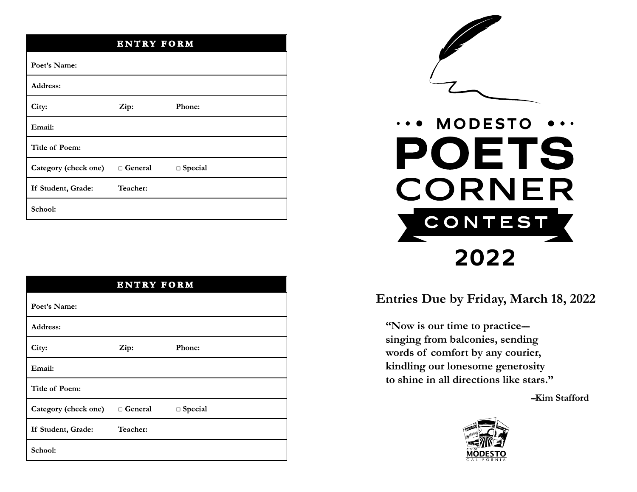| <b>ENTRY FORM</b>    |                |                |  |  |  |
|----------------------|----------------|----------------|--|--|--|
| Poet's Name:         |                |                |  |  |  |
| Address:             |                |                |  |  |  |
| City:                | Zip:           | Phone:         |  |  |  |
| Email:               |                |                |  |  |  |
| Title of Poem:       |                |                |  |  |  |
| Category (check one) | $\Box$ General | $\Box$ Special |  |  |  |
| If Student, Grade:   | Teacher:       |                |  |  |  |
| School:              |                |                |  |  |  |

| <b>ENTRY FORM</b>           |           |           |  |  |
|-----------------------------|-----------|-----------|--|--|
| Poet's Name:                |           |           |  |  |
| Address:                    |           |           |  |  |
| City:                       | Zip:      | Phone:    |  |  |
| Email:                      |           |           |  |  |
| <b>Title of Poem:</b>       |           |           |  |  |
| <b>Category (check one)</b> | □ General | □ Special |  |  |
| If Student, Grade:          | Teacher:  |           |  |  |
| School:                     |           |           |  |  |



# **MODESTO POETS CORNER** CONTEST **2022**

### **Entries Due by Friday, March 18, 2022**

**"Now is our time to practice-- singing from balconies, sending words of comfort by any courier, kindling our lonesome generosity to shine in all directions like stars."**

**--Kim Stafford**